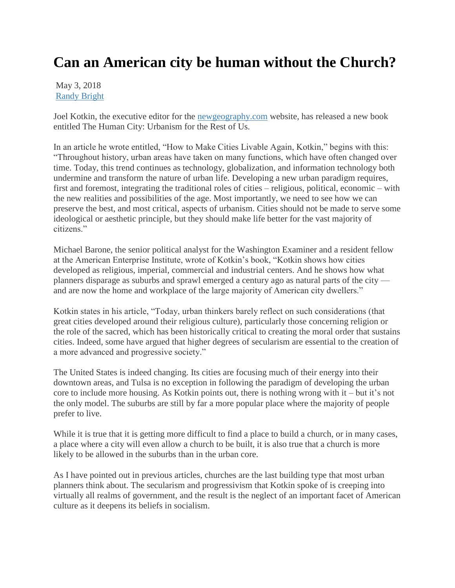## **Can an American city be human without the Church?**

May 3, 2018 [Randy Bright](http://tulsabeacon.com/author/randy-bright/)

Joel Kotkin, the executive editor for the [newgeography.com](http://newgeography.com/) website, has released a new book entitled The Human City: Urbanism for the Rest of Us.

In an article he wrote entitled, "How to Make Cities Livable Again, Kotkin," begins with this: "Throughout history, urban areas have taken on many functions, which have often changed over time. Today, this trend continues as technology, globalization, and information technology both undermine and transform the nature of urban life. Developing a new urban paradigm requires, first and foremost, integrating the traditional roles of cities – religious, political, economic – with the new realities and possibilities of the age. Most importantly, we need to see how we can preserve the best, and most critical, aspects of urbanism. Cities should not be made to serve some ideological or aesthetic principle, but they should make life better for the vast majority of citizens."

Michael Barone, the senior political analyst for the Washington Examiner and a resident fellow at the American Enterprise Institute, wrote of Kotkin's book, "Kotkin shows how cities developed as religious, imperial, commercial and industrial centers. And he shows how what planners disparage as suburbs and sprawl emerged a century ago as natural parts of the city and are now the home and workplace of the large majority of American city dwellers."

Kotkin states in his article, "Today, urban thinkers barely reflect on such considerations (that great cities developed around their religious culture), particularly those concerning religion or the role of the sacred, which has been historically critical to creating the moral order that sustains cities. Indeed, some have argued that higher degrees of secularism are essential to the creation of a more advanced and progressive society."

The United States is indeed changing. Its cities are focusing much of their energy into their downtown areas, and Tulsa is no exception in following the paradigm of developing the urban core to include more housing. As Kotkin points out, there is nothing wrong with it – but it's not the only model. The suburbs are still by far a more popular place where the majority of people prefer to live.

While it is true that it is getting more difficult to find a place to build a church, or in many cases, a place where a city will even allow a church to be built, it is also true that a church is more likely to be allowed in the suburbs than in the urban core.

As I have pointed out in previous articles, churches are the last building type that most urban planners think about. The secularism and progressivism that Kotkin spoke of is creeping into virtually all realms of government, and the result is the neglect of an important facet of American culture as it deepens its beliefs in socialism.